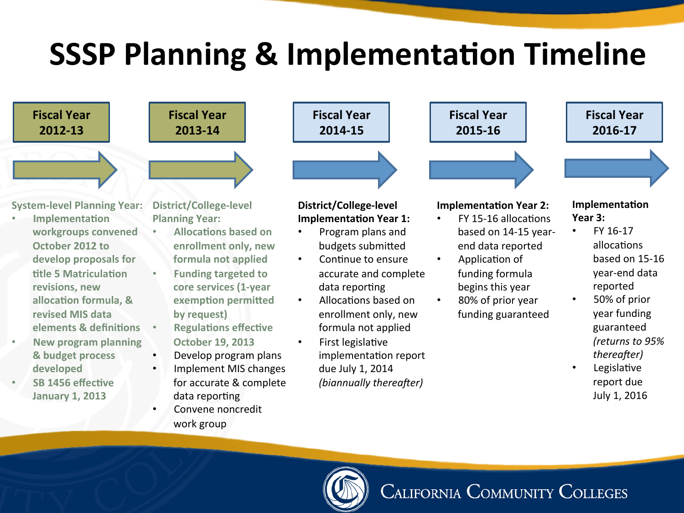## **SSSP Planning & Implementation Timeline**



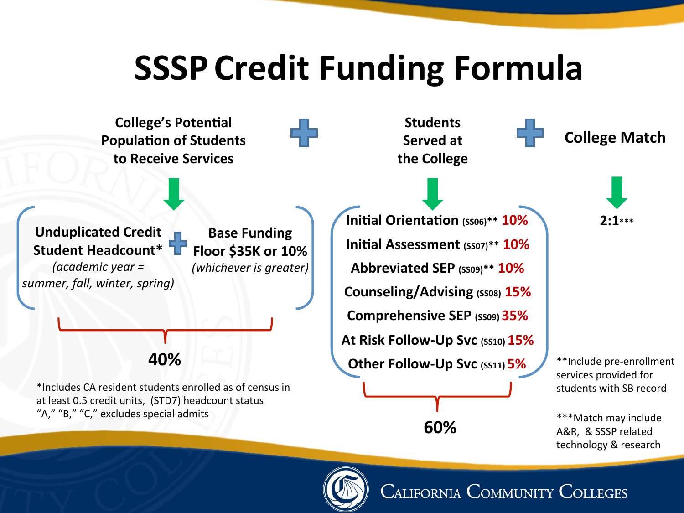## **SSSP Credit Funding Formula**

**College's Potential Students** ÷ **College Match Population of Students Served** at **to Receive Services the College Initial Orientation** (SS06)\*\* **10%** 2:1\*\*\* **Unduplicated Credit Base Funding Initial Assessment** (SS07)\*\* **10% Student Headcount\* Floor \$35K or 10%**  *(academic year = (whichever is greater)* **Abbreviated SEP (SS09)\*\* 10%**  *summer, fall, winter, spring)* **Counseling/Advising** (SS08) **15% Comprehensive SEP** (SS09) 35% **At Risk Follow-Up Svc (SS10) 15% 40%**  \*\*Include pre-enrollment **Other Follow-Up Svc (SS11) 5%** services provided for \*Includes CA resident students enrolled as of census in students with SB record at least 0.5 credit units, (STD7) headcount status "A," "B," "C," excludes special admits \*\*\*Match may include **60%**  A&R, & SSSP related technology & research